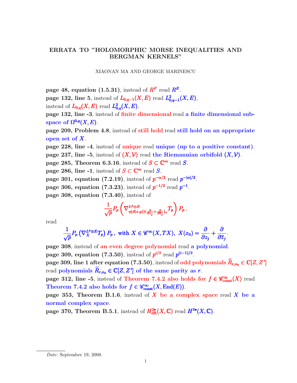## ERRATA TO "HOLOMORPHIC MORSE INEQUALITIES AND BERGMAN KERNELS"

## XIAONAN MA AND GEORGE MARINESCU

page 48, equation (1.5.31), instead of  $R^F$  read  $R^E$ .

page 132, line 5, instead of  $L_{0,q-1}(X,E)$  read  $L_{0,q-1}^2(X,E)$ , instead of  $L_{0,q}(X,E)$  read  $L_{0,q}^2(X,E)$ .

page 132, line -3, instead of finite dimensional read a finite dimensional subspace of  $\Omega^{0,q}(X,E)$ .

page 209, Problem 4.8, instead of still hold read still hold on an appropriate open set of X.

page 228, line -4, instead of unique read unique (up to a positive constant).

page 237, line -5, instead of  $(X, V)$  read the Riemannian orbifold  $(X, V)$ .

page 285, Theorem 6.3.16, instead of  $S \subset \mathbb{C}^m$  read S.

page 286, line -1, instead of  $S \subset \mathbb{C}^m$  read S.

page 301, equation (7.2.19), instead of  $p^{-\alpha/2}$  read  $p^{-|\alpha|/2}$ .

page 306, equation (7.3.23), instead of  $p^{-1/2}$  read  $p^{-1}$ .

page 308, equation (7.3.40), instead of

$$
\frac{1}{\sqrt{p}}P_p\left(\nabla^{L^p\otimes E}_{\eta(d(x,y))(\frac{\partial}{\partial z_j}+\frac{\partial}{\partial \overline{z}_j})_x}T_p\right)P_p.
$$

read

$$
\frac{1}{\sqrt{p}}P_p\left(\nabla_X^{L^p\otimes E}T_p\right)P_p, \text{ with } X \in \mathscr{C}^\infty(X,TX), \ X(x_0) = \frac{\partial}{\partial z_j} + \frac{\partial}{\partial \overline{z}_j}.
$$

page 308, instead of an even degree polynomial read a polynomial. page 309, equation (7.3.50), instead of  $p^{i/2}$  read  $p^{(i-1)/2}$ . page 309, line 1 after equation  $(7.3.50)$ , instead of odd polynomials  $\widetilde{R}_{r,x_0} \in \mathbb{C}[Z,Z']$ read polynomials  $\widetilde{R}_{r,x_0} \in \mathbb{C}[Z,Z']$  of the same parity as r. page 312, line -5, instead of Theorem 7.4.2 also holds for  $f \in \mathscr{C}_{\text{const}}^{\infty}(X)$  read Theorem 7.4.2 also holds for  $f \in \mathscr{C}_{\text{const}}^{\infty}(X, \text{End}(E)).$ page 353, Theorem B.1.6, instead of  $X$  be a complex space read  $X$  be a

normal complex space.

page 370, Theorem B.5.1, instead of  $H^{2\bullet}_{\mathrm{dR}}(X,\mathbb{C})$  read  $H^{2\bullet}(X,\mathbb{C})$ .

Date: September 19, 2008.